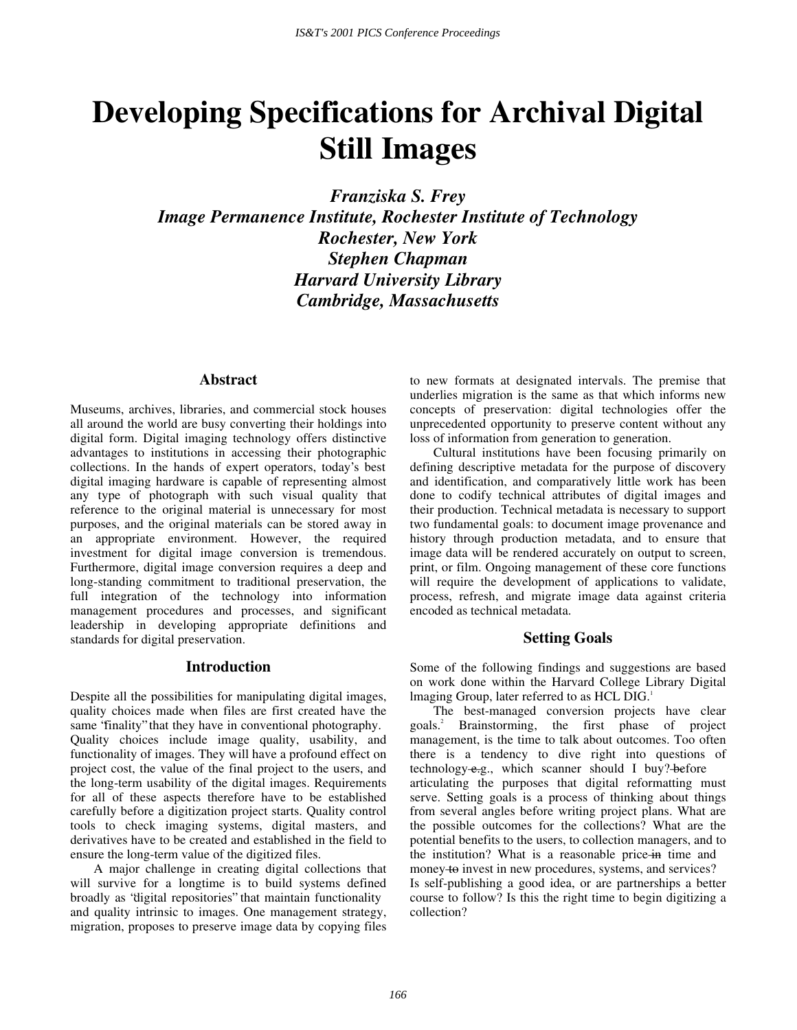# **Developing Specifications for Archival Digital Still Images**

*Franziska S. Frey* 

*Image Permanence Institute, Rochester Institute of Technology Rochester, New York Stephen Chapman Harvard University Library Cambridge, Massachusetts* 

#### **Abstract**

Museums, archives, libraries, and commercial stock houses all around the world are busy converting their holdings into digital form. Digital imaging technology offers distinctive advantages to institutions in accessing their photographic collections. In the hands of expert operators, today's best digital imaging hardware is capable of representing almost any type of photograph with such visual quality that reference to the original material is unnecessary for most purposes, and the original materials can be stored away in an appropriate environment. However, the required investment for digital image conversion is tremendous. Furthermore, digital image conversion requires a deep and long-standing commitment to traditional preservation, the full integration of the technology into information management procedures and processes, and significant leadership in developing appropriate definitions and standards for digital preservation.

#### **Introduction**

Despite all the possibilities for manipulating digital images, quality choices made when files are first created have the same "finality" that they have in conventional photography. Quality choices include image quality, usability, and functionality of images. They will have a profound effect on project cost, the value of the final project to the users, and the long-term usability of the digital images. Requirements for all of these aspects therefore have to be established carefully before a digitization project starts. Quality control tools to check imaging systems, digital masters, and derivatives have to be created and established in the field to ensure the long-term value of the digitized files.

A major challenge in creating digital collections that will survive for a longtime is to build systems defined broadly as "digital repositories" that maintain functionality and quality intrinsic to images. One management strategy, migration, proposes to preserve image data by copying files to new formats at designated intervals. The premise that underlies migration is the same as that which informs new concepts of preservation: digital technologies offer the unprecedented opportunity to preserve content without any loss of information from generation to generation.

Cultural institutions have been focusing primarily on defining descriptive metadata for the purpose of discovery and identification, and comparatively little work has been done to codify technical attributes of digital images and their production. Technical metadata is necessary to support two fundamental goals: to document image provenance and history through production metadata, and to ensure that image data will be rendered accurately on output to screen, print, or film. Ongoing management of these core functions will require the development of applications to validate, process, refresh, and migrate image data against criteria encoded as technical metadata.

### **Setting Goals**

Some of the following findings and suggestions are based on work done within the Harvard College Library Digital lmaging Group, later referred to as HCL DIG.<sup>1</sup>

The best-managed conversion projects have clear goals.2 Brainstorming, the first phase of project management, is the time to talk about outcomes. Too often there is a tendency to dive right into questions of technology—e.g., which scanner should I buy?—before articulating the purposes that digital reformatting must serve. Setting goals is a process of thinking about things from several angles before writing project plans. What are the possible outcomes for the collections? What are the potential benefits to the users, to collection managers, and to the institution? What is a reasonable price—in time and money to invest in new procedures, systems, and services? Is self-publishing a good idea, or are partnerships a better course to follow? Is this the right time to begin digitizing a collection?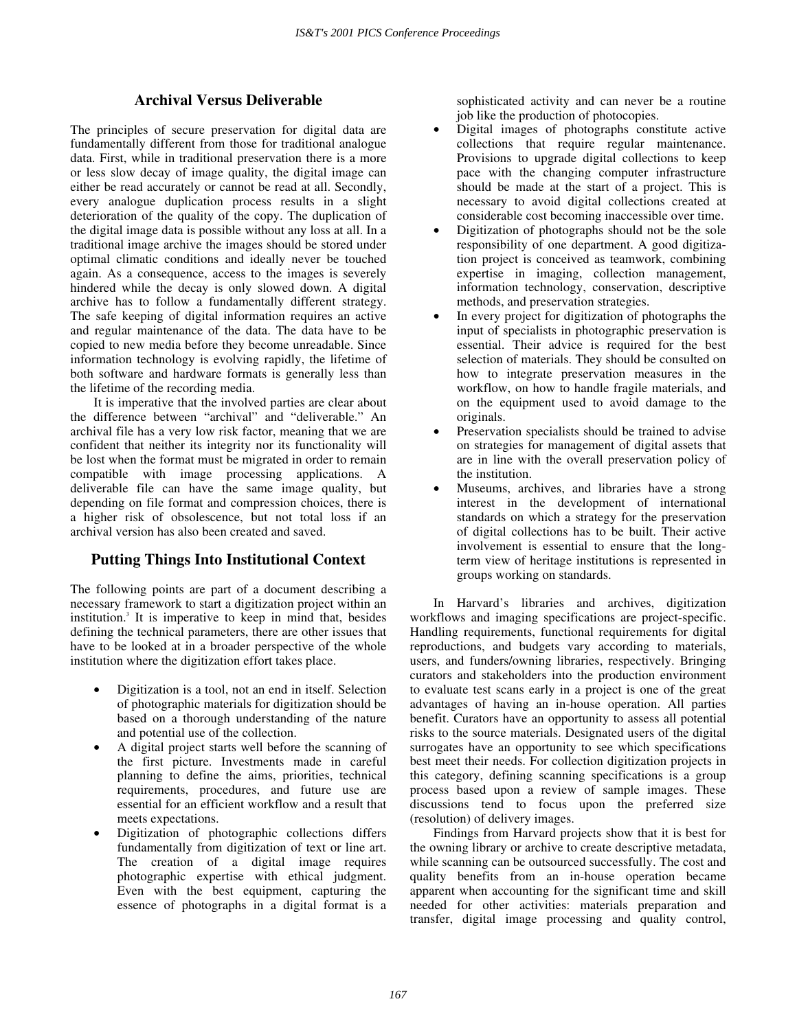# **Archival Versus Deliverable**

The principles of secure preservation for digital data are fundamentally different from those for traditional analogue data. First, while in traditional preservation there is a more or less slow decay of image quality, the digital image can either be read accurately or cannot be read at all. Secondly, every analogue duplication process results in a slight deterioration of the quality of the copy. The duplication of the digital image data is possible without any loss at all. In a traditional image archive the images should be stored under optimal climatic conditions and ideally never be touched again. As a consequence, access to the images is severely hindered while the decay is only slowed down. A digital archive has to follow a fundamentally different strategy. The safe keeping of digital information requires an active and regular maintenance of the data. The data have to be copied to new media before they become unreadable. Since information technology is evolving rapidly, the lifetime of both software and hardware formats is generally less than the lifetime of the recording media.

It is imperative that the involved parties are clear about the difference between "archival" and "deliverable." An archival file has a very low risk factor, meaning that we are confident that neither its integrity nor its functionality will be lost when the format must be migrated in order to remain compatible with image processing applications. A deliverable file can have the same image quality, but depending on file format and compression choices, there is a higher risk of obsolescence, but not total loss if an archival version has also been created and saved.

# **Putting Things Into Institutional Context**

The following points are part of a document describing a necessary framework to start a digitization project within an institution.<sup>3</sup> It is imperative to keep in mind that, besides defining the technical parameters, there are other issues that have to be looked at in a broader perspective of the whole institution where the digitization effort takes place.

- Digitization is a tool, not an end in itself. Selection of photographic materials for digitization should be based on a thorough understanding of the nature and potential use of the collection.
- A digital project starts well before the scanning of the first picture. Investments made in careful planning to define the aims, priorities, technical requirements, procedures, and future use are essential for an efficient workflow and a result that meets expectations.
- Digitization of photographic collections differs fundamentally from digitization of text or line art. The creation of a digital image requires photographic expertise with ethical judgment. Even with the best equipment, capturing the essence of photographs in a digital format is a

sophisticated activity and can never be a routine job like the production of photocopies.

- Digital images of photographs constitute active collections that require regular maintenance. Provisions to upgrade digital collections to keep pace with the changing computer infrastructure should be made at the start of a project. This is necessary to avoid digital collections created at considerable cost becoming inaccessible over time.
- Digitization of photographs should not be the sole responsibility of one department. A good digitization project is conceived as teamwork, combining expertise in imaging, collection management, information technology, conservation, descriptive methods, and preservation strategies.
- In every project for digitization of photographs the input of specialists in photographic preservation is essential. Their advice is required for the best selection of materials. They should be consulted on how to integrate preservation measures in the workflow, on how to handle fragile materials, and on the equipment used to avoid damage to the originals.
- Preservation specialists should be trained to advise on strategies for management of digital assets that are in line with the overall preservation policy of the institution.
- Museums, archives, and libraries have a strong interest in the development of international standards on which a strategy for the preservation of digital collections has to be built. Their active involvement is essential to ensure that the longterm view of heritage institutions is represented in groups working on standards.

In Harvard's libraries and archives, digitization workflows and imaging specifications are project-specific. Handling requirements, functional requirements for digital reproductions, and budgets vary according to materials, users, and funders/owning libraries, respectively. Bringing curators and stakeholders into the production environment to evaluate test scans early in a project is one of the great advantages of having an in-house operation. All parties benefit. Curators have an opportunity to assess all potential risks to the source materials. Designated users of the digital surrogates have an opportunity to see which specifications best meet their needs. For collection digitization projects in this category, defining scanning specifications is a group process based upon a review of sample images. These discussions tend to focus upon the preferred size (resolution) of delivery images.

Findings from Harvard projects show that it is best for the owning library or archive to create descriptive metadata, while scanning can be outsourced successfully. The cost and quality benefits from an in-house operation became apparent when accounting for the significant time and skill needed for other activities: materials preparation and transfer, digital image processing and quality control,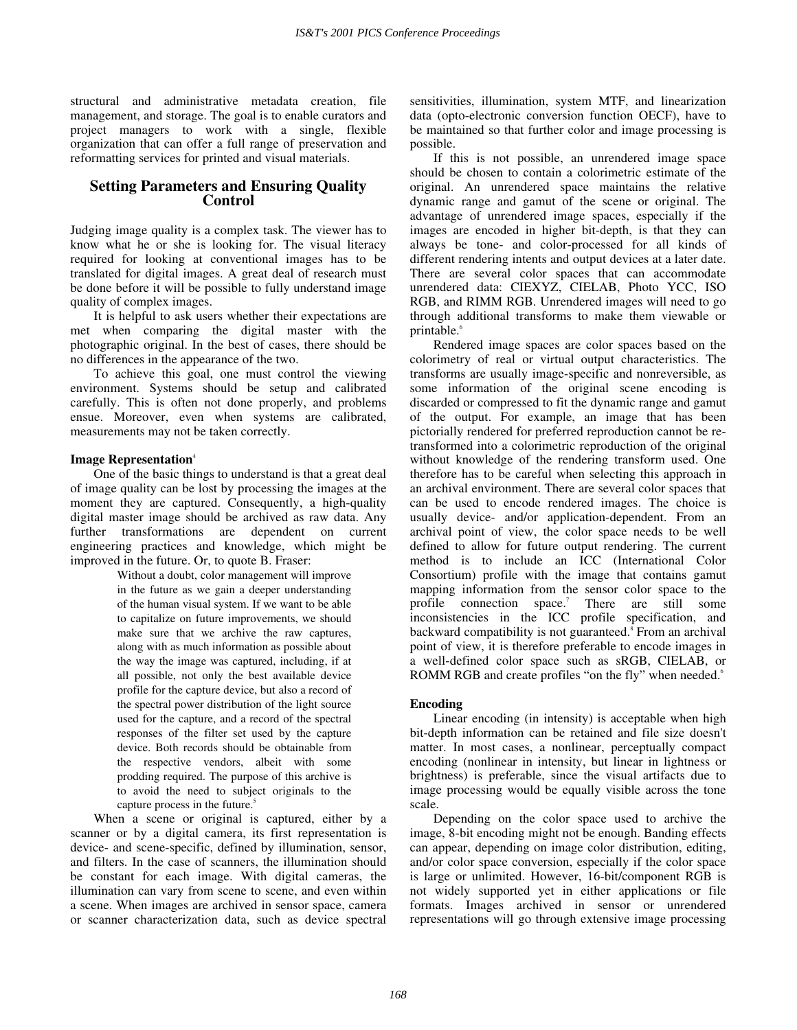structural and administrative metadata creation, file management, and storage. The goal is to enable curators and project managers to work with a single, flexible organization that can offer a full range of preservation and reformatting services for printed and visual materials.

## **Setting Parameters and Ensuring Quality Control**

Judging image quality is a complex task. The viewer has to know what he or she is looking for. The visual literacy required for looking at conventional images has to be translated for digital images. A great deal of research must be done before it will be possible to fully understand image quality of complex images.

It is helpful to ask users whether their expectations are met when comparing the digital master with the photographic original. In the best of cases, there should be no differences in the appearance of the two.

To achieve this goal, one must control the viewing environment. Systems should be setup and calibrated carefully. This is often not done properly, and problems ensue. Moreover, even when systems are calibrated, measurements may not be taken correctly.

#### **Image Representation**<sup>4</sup>

One of the basic things to understand is that a great deal of image quality can be lost by processing the images at the moment they are captured. Consequently, a high-quality digital master image should be archived as raw data. Any further transformations are dependent on current engineering practices and knowledge, which might be improved in the future. Or, to quote B. Fraser:

> Without a doubt, color management will improve in the future as we gain a deeper understanding of the human visual system. If we want to be able to capitalize on future improvements, we should make sure that we archive the raw captures, along with as much information as possible about the way the image was captured, including, if at all possible, not only the best available device profile for the capture device, but also a record of the spectral power distribution of the light source used for the capture, and a record of the spectral responses of the filter set used by the capture device. Both records should be obtainable from the respective vendors, albeit with some prodding required. The purpose of this archive is to avoid the need to subject originals to the capture process in the future.<sup>5</sup>

When a scene or original is captured, either by a scanner or by a digital camera, its first representation is device- and scene-specific, defined by illumination, sensor, and filters. In the case of scanners, the illumination should be constant for each image. With digital cameras, the illumination can vary from scene to scene, and even within a scene. When images are archived in sensor space, camera or scanner characterization data, such as device spectral

sensitivities, illumination, system MTF, and linearization data (opto-electronic conversion function OECF), have to be maintained so that further color and image processing is possible.

If this is not possible, an unrendered image space should be chosen to contain a colorimetric estimate of the original. An unrendered space maintains the relative dynamic range and gamut of the scene or original. The advantage of unrendered image spaces, especially if the images are encoded in higher bit-depth, is that they can always be tone- and color-processed for all kinds of different rendering intents and output devices at a later date. There are several color spaces that can accommodate unrendered data: CIEXYZ, CIELAB, Photo YCC, ISO RGB, and RIMM RGB. Unrendered images will need to go through additional transforms to make them viewable or printable.<sup>6</sup>

Rendered image spaces are color spaces based on the colorimetry of real or virtual output characteristics. The transforms are usually image-specific and nonreversible, as some information of the original scene encoding is discarded or compressed to fit the dynamic range and gamut of the output. For example, an image that has been pictorially rendered for preferred reproduction cannot be retransformed into a colorimetric reproduction of the original without knowledge of the rendering transform used. One therefore has to be careful when selecting this approach in an archival environment. There are several color spaces that can be used to encode rendered images. The choice is usually device- and/or application-dependent. From an archival point of view, the color space needs to be well defined to allow for future output rendering. The current method is to include an ICC (International Color Consortium) profile with the image that contains gamut mapping information from the sensor color space to the profile connection space.<sup>7</sup> There are still some inconsistencies in the ICC profile specification, and backward compatibility is not guaranteed.<sup>8</sup> From an archival point of view, it is therefore preferable to encode images in a well-defined color space such as sRGB, CIELAB, or ROMM RGB and create profiles "on the fly" when needed.<sup>6</sup>

#### **Encoding**

Linear encoding (in intensity) is acceptable when high bit-depth information can be retained and file size doesn't matter. In most cases, a nonlinear, perceptually compact encoding (nonlinear in intensity, but linear in lightness or brightness) is preferable, since the visual artifacts due to image processing would be equally visible across the tone scale.

Depending on the color space used to archive the image, 8-bit encoding might not be enough. Banding effects can appear, depending on image color distribution, editing, and/or color space conversion, especially if the color space is large or unlimited. However, 16-bit/component RGB is not widely supported yet in either applications or file formats. Images archived in sensor or unrendered representations will go through extensive image processing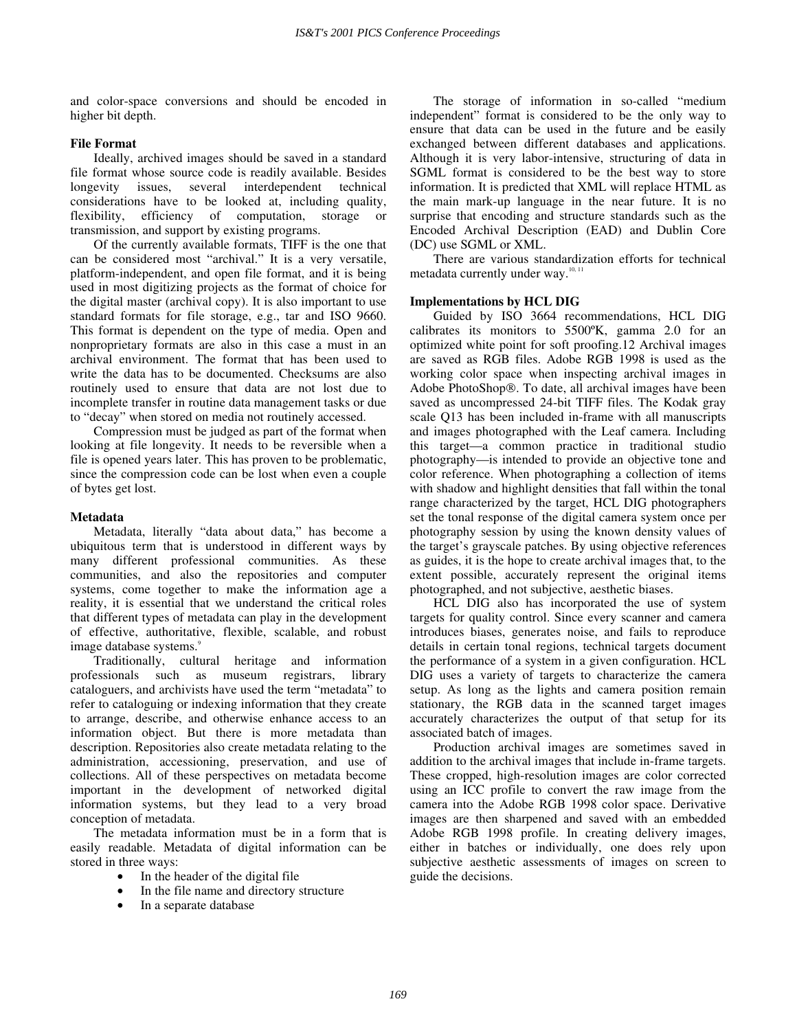and color-space conversions and should be encoded in higher bit depth.

#### **File Format**

Ideally, archived images should be saved in a standard file format whose source code is readily available. Besides longevity issues, several interdependent technical considerations have to be looked at, including quality, flexibility, efficiency of computation, storage or transmission, and support by existing programs.

Of the currently available formats, TIFF is the one that can be considered most "archival." It is a very versatile, platform-independent, and open file format, and it is being used in most digitizing projects as the format of choice for the digital master (archival copy). It is also important to use standard formats for file storage, e.g., tar and ISO 9660. This format is dependent on the type of media. Open and nonproprietary formats are also in this case a must in an archival environment. The format that has been used to write the data has to be documented. Checksums are also routinely used to ensure that data are not lost due to incomplete transfer in routine data management tasks or due to " decay" when stored on media not routinely accessed.

Compression must be judged as part of the format when looking at file longevity. It needs to be reversible when a file is opened years later. This has proven to be problematic, since the compression code can be lost when even a couple of bytes get lost.

#### **Metadata**

Metadata, literally "data about data," has become a ubiquitous term that is understood in different ways by many different professional communities. As these communities, and also the repositories and computer systems, come together to make the information age a reality, it is essential that we understand the critical roles that different types of metadata can play in the development of effective, authoritative, flexible, scalable, and robust image database systems.<sup>9</sup>

Traditionally, cultural heritage and information professionals such as museum registrars, library cataloguers, and archivists have used the term " metadata" to refer to cataloguing or indexing information that they create to arrange, describe, and otherwise enhance access to an information object. But there is more metadata than description. Repositories also create metadata relating to the administration, accessioning, preservation, and use of collections. All of these perspectives on metadata become important in the development of networked digital information systems, but they lead to a very broad conception of metadata.

The metadata information must be in a form that is easily readable. Metadata of digital information can be stored in three ways:

- In the header of the digital file
- In the file name and directory structure
- In a separate database

The storage of information in so-called "medium independent" format is considered to be the only way to ensure that data can be used in the future and be easily exchanged between different databases and applications. Although it is very labor-intensive, structuring of data in SGML format is considered to be the best way to store information. It is predicted that XML will replace HTML as the main mark-up language in the near future. It is no surprise that encoding and structure standards such as the Encoded Archival Description (EAD) and Dublin Core (DC) use SGML or XML.

There are various standardization efforts for technical metadata currently under way.<sup>10, 11</sup>

#### **Implementations by HCL DIG**

Guided by ISO 3664 recommendations, HCL DIG calibrates its monitors to 5500ºK, gamma 2.0 for an optimized white point for soft proofing.12 Archival images are saved as RGB files. Adobe RGB 1998 is used as the working color space when inspecting archival images in Adobe PhotoShop®. To date, all archival images have been saved as uncompressed 24-bit TIFF files. The Kodak gray scale Q13 has been included in-frame with all manuscripts and images photographed with the Leaf camera. Including this target— a common practice in traditional studio photography— is intended to provide an objective tone and color reference. When photographing a collection of items with shadow and highlight densities that fall within the tonal range characterized by the target, HCL DIG photographers set the tonal response of the digital camera system once per photography session by using the known density values of the target's grayscale patches. By using objective references as guides, it is the hope to create archival images that, to the extent possible, accurately represent the original items photographed, and not subjective, aesthetic biases.

HCL DIG also has incorporated the use of system targets for quality control. Since every scanner and camera introduces biases, generates noise, and fails to reproduce details in certain tonal regions, technical targets document the performance of a system in a given configuration. HCL DIG uses a variety of targets to characterize the camera setup. As long as the lights and camera position remain stationary, the RGB data in the scanned target images accurately characterizes the output of that setup for its associated batch of images.

Production archival images are sometimes saved in addition to the archival images that include in-frame targets. These cropped, high-resolution images are color corrected using an ICC profile to convert the raw image from the camera into the Adobe RGB 1998 color space. Derivative images are then sharpened and saved with an embedded Adobe RGB 1998 profile. In creating delivery images, either in batches or individually, one does rely upon subjective aesthetic assessments of images on screen to guide the decisions.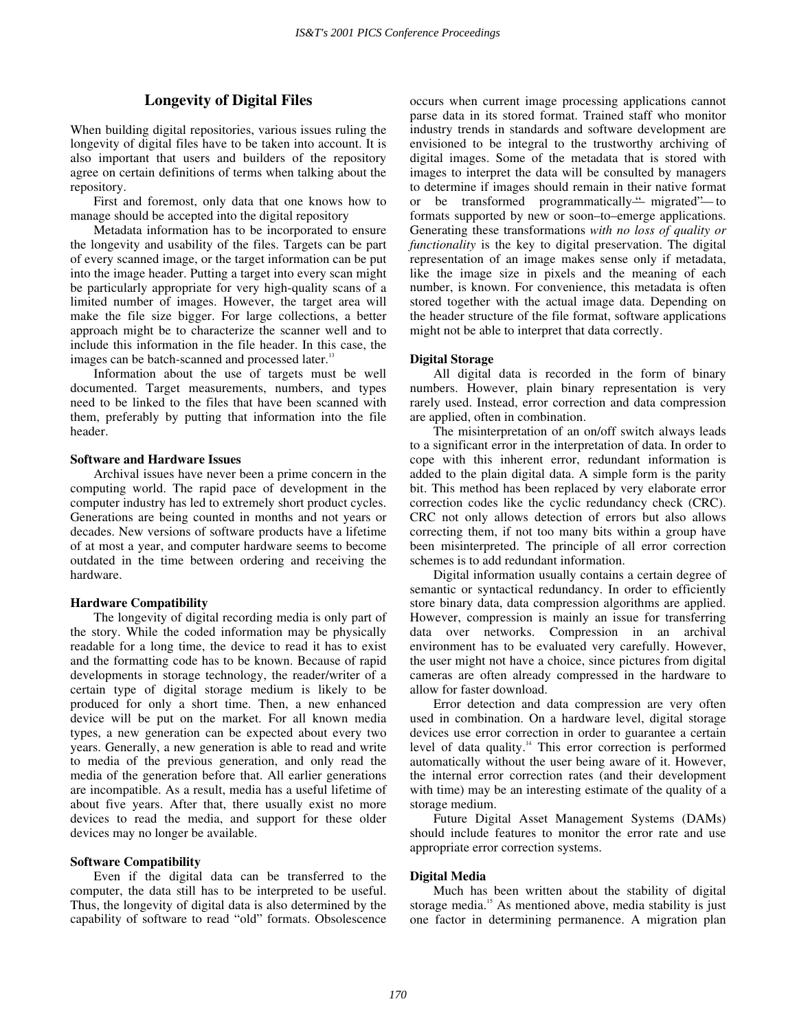## **Longevity of Digital Files**

When building digital repositories, various issues ruling the longevity of digital files have to be taken into account. It is also important that users and builders of the repository agree on certain definitions of terms when talking about the repository.

First and foremost, only data that one knows how to manage should be accepted into the digital repository

Metadata information has to be incorporated to ensure the longevity and usability of the files. Targets can be part of every scanned image, or the target information can be put into the image header. Putting a target into every scan might be particularly appropriate for very high-quality scans of a limited number of images. However, the target area will make the file size bigger. For large collections, a better approach might be to characterize the scanner well and to include this information in the file header. In this case, the images can be batch-scanned and processed later.<sup>13</sup>

Information about the use of targets must be well documented. Target measurements, numbers, and types need to be linked to the files that have been scanned with them, preferably by putting that information into the file header.

#### **Software and Hardware Issues**

Archival issues have never been a prime concern in the computing world. The rapid pace of development in the computer industry has led to extremely short product cycles. Generations are being counted in months and not years or decades. New versions of software products have a lifetime of at most a year, and computer hardware seems to become outdated in the time between ordering and receiving the hardware.

#### **Hardware Compatibility**

The longevity of digital recording media is only part of the story. While the coded information may be physically readable for a long time, the device to read it has to exist and the formatting code has to be known. Because of rapid developments in storage technology, the reader/writer of a certain type of digital storage medium is likely to be produced for only a short time. Then, a new enhanced device will be put on the market. For all known media types, a new generation can be expected about every two years. Generally, a new generation is able to read and write to media of the previous generation, and only read the media of the generation before that. All earlier generations are incompatible. As a result, media has a useful lifetime of about five years. After that, there usually exist no more devices to read the media, and support for these older devices may no longer be available.

#### **Software Compatibility**

Even if the digital data can be transferred to the computer, the data still has to be interpreted to be useful. Thus, the longevity of digital data is also determined by the capability of software to read "old" formats. Obsolescence occurs when current image processing applications cannot parse data in its stored format. Trained staff who monitor industry trends in standards and software development are envisioned to be integral to the trustworthy archiving of digital images. Some of the metadata that is stored with images to interpret the data will be consulted by managers to determine if images should remain in their native format or be transformed programmatically—" migrated"— to formats supported by new or soon–to–emerge applications. Generating these transformations *with no loss of quality or functionality* is the key to digital preservation. The digital representation of an image makes sense only if metadata, like the image size in pixels and the meaning of each number, is known. For convenience, this metadata is often stored together with the actual image data. Depending on the header structure of the file format, software applications might not be able to interpret that data correctly.

#### **Digital Storage**

All digital data is recorded in the form of binary numbers. However, plain binary representation is very rarely used. Instead, error correction and data compression are applied, often in combination.

The misinterpretation of an on/off switch always leads to a significant error in the interpretation of data. In order to cope with this inherent error, redundant information is added to the plain digital data. A simple form is the parity bit. This method has been replaced by very elaborate error correction codes like the cyclic redundancy check (CRC). CRC not only allows detection of errors but also allows correcting them, if not too many bits within a group have been misinterpreted. The principle of all error correction schemes is to add redundant information.

Digital information usually contains a certain degree of semantic or syntactical redundancy. In order to efficiently store binary data, data compression algorithms are applied. However, compression is mainly an issue for transferring data over networks. Compression in an archival environment has to be evaluated very carefully. However, the user might not have a choice, since pictures from digital cameras are often already compressed in the hardware to allow for faster download.

Error detection and data compression are very often used in combination. On a hardware level, digital storage devices use error correction in order to guarantee a certain level of data quality.<sup>14</sup> This error correction is performed automatically without the user being aware of it. However, the internal error correction rates (and their development with time) may be an interesting estimate of the quality of a storage medium.

Future Digital Asset Management Systems (DAMs) should include features to monitor the error rate and use appropriate error correction systems.

#### **Digital Media**

Much has been written about the stability of digital storage media.<sup>15</sup> As mentioned above, media stability is just one factor in determining permanence. A migration plan